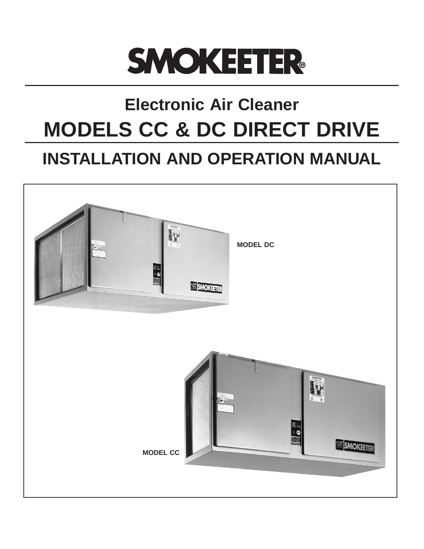

## **Electronic Air Cleaner MODELS CC & DC DIRECT DRIVE**

## **INSTALLATION AND OPERATION MANUAL**

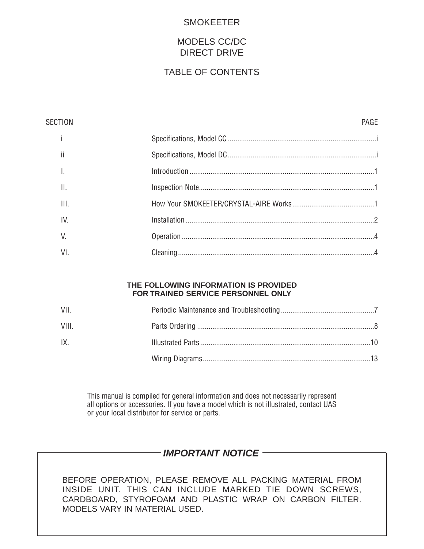### SMOKEETER

## MODELS CC/DC DIRECT DRIVE

## TABLE OF CONTENTS

| <b>SECTION</b>  | PAGF |
|-----------------|------|
|                 |      |
| ii              |      |
|                 |      |
| $\mathbf{II}$ . |      |
| III.            |      |
| IV.             |      |
| V.              |      |
| VI.             |      |
|                 |      |

#### **THE FOLLOWING INFORMATION IS PROVIDED FOR TRAINED SERVICE PERSONNEL ONLY**

| VII.        |  |
|-------------|--|
| <b>VIII</b> |  |
| IX.         |  |
|             |  |

This manual is compiled for general information and does not necessarily represent all options or accessories. If you have a model which is not illustrated, contact UAS or your local distributor for service or parts.

## **IMPORTANT NOTICE**

BEFORE OPERATION, PLEASE REMOVE ALL PACKING MATERIAL FROM INSIDE UNIT. THIS CAN INCLUDE MARKED TIE DOWN SCREWS, CARDBOARD, STYROFOAM AND PLASTIC WRAP ON CARBON FILTER. MODELS VARY IN MATERIAL USED.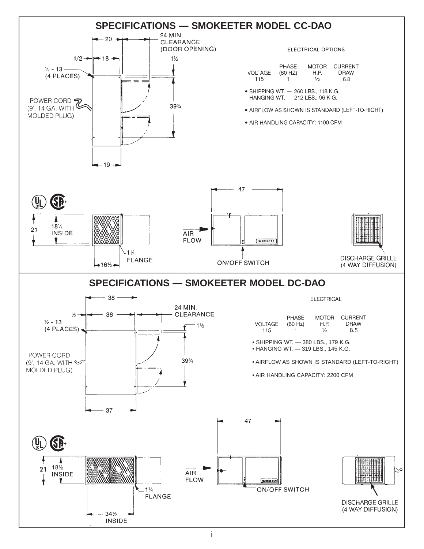

i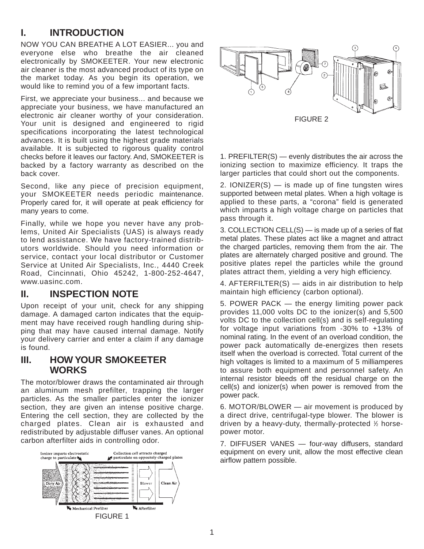## **I. INTRODUCTION**

NOW YOU CAN BREATHE A LOT EASIER... you and everyone else who breathe the air cleaned electronically by SMOKEETER. Your new electronic air cleaner is the most advanced product of its type on the market today. As you begin its operation, we would like to remind you of a few important facts.

First, we appreciate your business... and because we appreciate your business, we have manufactured an electronic air cleaner worthy of your consideration. Your unit is designed and engineered to rigid specifications incorporating the latest technological advances. It is built using the highest grade materials available. It is subjected to rigorous quality control checks before it leaves our factory. And, SMOKEETER is backed by a factory warranty as described on the back cover.

Second, like any piece of precision equipment, your SMOKEETER needs periodic maintenance. Properly cared for, it will operate at peak efficiency for many years to come.

Finally, while we hope you never have any problems, United Air Specialists (UAS) is always ready to lend assistance. We have factory-trained distributors worldwide. Should you need information or service, contact your local distributor or Customer Service at United Air Specialists, Inc., 4440 Creek Road, Cincinnati, Ohio 45242, 1-800-252-4647, www.uasinc.com.

## **II. INSPECTION NOTE**

Upon receipt of your unit, check for any shipping damage. A damaged carton indicates that the equipment may have received rough handling during shipping that may have caused internal damage. Notify your delivery carrier and enter a claim if any damage is found.

## **III. HOW YOUR SMOKEETER WORKS**

The motor/blower draws the contaminated air through an aluminum mesh prefilter, trapping the larger particles. As the smaller particles enter the ionizer section, they are given an intense positive charge. Entering the cell section, they are collected by the charged plates. Clean air is exhausted and redistributed by adjustable diffuser vanes. An optional carbon afterfilter aids in controlling odor.





1. PREFILTER(S) — evenly distributes the air across the ionizing section to maximize efficiency. It traps the larger particles that could short out the components.

2. IONIZER $(S)$  — is made up of fine tungsten wires supported between metal plates. When a high voltage is applied to these parts, a "corona" field is generated which imparts a high voltage charge on particles that pass through it.

3. COLLECTION CELL(S) — is made up of a series of flat metal plates. These plates act like a magnet and attract the charged particles, removing them from the air. The plates are alternately charged positive and ground. The positive plates repel the particles while the ground plates attract them, yielding a very high efficiency.

4. AFTERFILTER(S) — aids in air distribution to help maintain high efficiency (carbon optional).

5. POWER PACK — the energy limiting power pack provides 11,000 volts DC to the ionizer(s) and 5,500 volts DC to the collection cell(s) and is self-regulating for voltage input variations from -30% to +13% of nominal rating. In the event of an overload condition, the power pack automatically de-energizes then resets itself when the overload is corrected. Total current of the high voltages is limited to a maximum of 5 milliamperes to assure both equipment and personnel safety. An internal resistor bleeds off the residual charge on the cell(s) and ionizer(s) when power is removed from the power pack.

6. MOTOR/BLOWER — air movement is produced by a direct drive, centrifugal-type blower. The blower is driven by a heavy-duty, thermally-protected 1 ⁄2 horsepower motor.

7. DIFFUSER VANES — four-way diffusers, standard equipment on every unit, allow the most effective clean airflow pattern possible.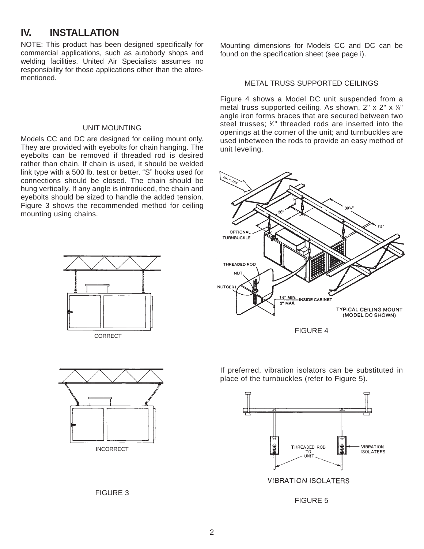## **IV. INSTALLATION**

NOTE: This product has been designed specifically for commercial applications, such as autobody shops and welding facilities. United Air Specialists assumes no responsibility for those applications other than the aforementioned.

#### UNIT MOUNTING

Models CC and DC are designed for ceiling mount only. They are provided with eyebolts for chain hanging. The eyebolts can be removed if threaded rod is desired rather than chain. If chain is used, it should be welded link type with a 500 lb. test or better. "S" hooks used for connections should be closed. The chain should be hung vertically. If any angle is introduced, the chain and eyebolts should be sized to handle the added tension. Figure 3 shows the recommended method for ceiling mounting using chains.







Mounting dimensions for Models CC and DC can be found on the specification sheet (see page i).

#### METAL TRUSS SUPPORTED CEILINGS

Figure 4 shows a Model DC unit suspended from a metal truss supported ceiling. As shown,  $2" \times 2" \times 14"$ angle iron forms braces that are secured between two steel trusses; 1 ⁄2" threaded rods are inserted into the openings at the corner of the unit; and turnbuckles are used inbetween the rods to provide an easy method of unit leveling.



FIGURE 4

If preferred, vibration isolators can be substituted in place of the turnbuckles (refer to Figure 5).



FIGURE 5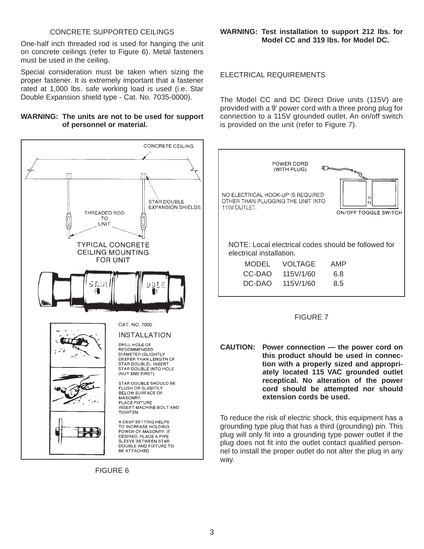#### CONCRETE SUPPORTED CEILINGS

One-half inch threaded rod is used for hanging the unit on concrete ceilings (refer to Figure 6). Metal fasteners must be used in the ceiling.

Special consideration must be taken when sizing the proper fastener. It is extremely important that a fastener rated at 1,000 lbs. safe working load is used (i.e. Star Double Expansion shield type - Cat. No. 7035-0000).

#### **WARNING: The units are not to be used for support of personnel or material.**



FIGURE 6

**WARNING: Test installation to support 212 lbs. for Model CC and 319 lbs. for Model DC.**

#### ELECTRICAL REQUIREMENTS

The Model CC and DC Direct Drive units (115V) are provided with a 9' power cord with a three prong plug for connection to a 115V grounded outlet. An on/off switch is provided on the unit (refer to Figure 7).



#### FIGURE 7

**CAUTION: Power connection — the power cord on this product should be used in connection with a properly sized and appropriately located 115 VAC grounded outlet receptical. No alteration of the power cord should be attempted nor should extension cords be used.**

To reduce the risk of electric shock, this equipment has a grounding type plug that has a third (grounding) pin. This plug will only fit into a grounding type power outlet if the plug does not fit into the outlet contact qualified personnel to install the proper outlet do not alter the plug in any way.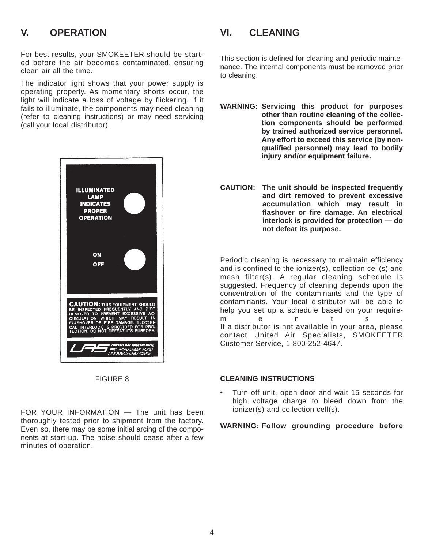## **V. OPERATION**

For best results, your SMOKEETER should be started before the air becomes contaminated, ensuring clean air all the time.

The indicator light shows that your power supply is operating properly. As momentary shorts occur, the light will indicate a loss of voltage by flickering. If it fails to illuminate, the components may need cleaning (refer to cleaning instructions) or may need servicing (call your local distributor).



FIGURE 8

FOR YOUR INFORMATION — The unit has been thoroughly tested prior to shipment from the factory. Even so, there may be some initial arcing of the components at start-up. The noise should cease after a few minutes of operation.

## **VI. CLEANING**

This section is defined for cleaning and periodic maintenance. The internal components must be removed prior to cleaning.

- **WARNING: Servicing this product for purposes other than routine cleaning of the collection components should be performed by trained authorized service personnel. Any effort to exceed this service (by nonqualified personnel) may lead to bodily injury and/or equipment failure.**
- **CAUTION: The unit should be inspected frequently and dirt removed to prevent excessive accumulation which may result in flashover or fire damage. An electrical interlock is provided for protection — do not defeat its purpose.**

Periodic cleaning is necessary to maintain efficiency and is confined to the ionizer(s), collection cell(s) and mesh filter(s). A regular cleaning schedule is suggested. Frequency of cleaning depends upon the concentration of the contaminants and the type of contaminants. Your local distributor will be able to help you set up a schedule based on your requirements. If a distributor is not available in your area, please contact United Air Specialists, SMOKEETER Customer Service, 1-800-252-4647.

#### **CLEANING INSTRUCTIONS**

• Turn off unit, open door and wait 15 seconds for high voltage charge to bleed down from the ionizer(s) and collection cell(s).

#### **WARNING: Follow grounding procedure before**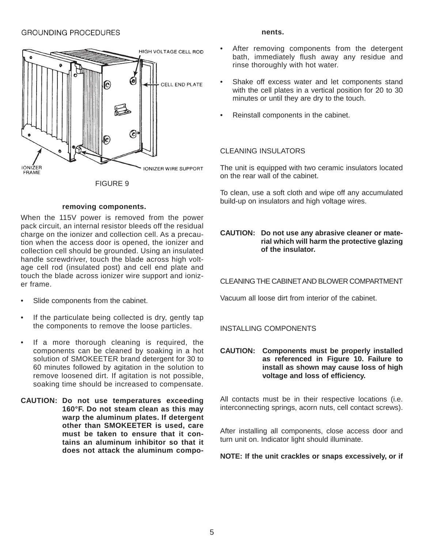#### **GROUNDING PROCEDURES**



FIGURE 9

#### **removing components.**

When the 115V power is removed from the power pack circuit, an internal resistor bleeds off the residual charge on the ionizer and collection cell. As a precaution when the access door is opened, the ionizer and collection cell should be grounded. Using an insulated handle screwdriver, touch the blade across high voltage cell rod (insulated post) and cell end plate and touch the blade across ionizer wire support and ionizer frame.

- Slide components from the cabinet.
- If the particulate being collected is dry, gently tap the components to remove the loose particles.
- If a more thorough cleaning is required, the components can be cleaned by soaking in a hot solution of SMOKEETER brand detergent for 30 to 60 minutes followed by agitation in the solution to remove loosened dirt. If agitation is not possible, soaking time should be increased to compensate.

**CAUTION: Do not use temperatures exceeding 160°F. Do not steam clean as this may warp the aluminum plates. If detergent other than SMOKEETER is used, care must be taken to ensure that it contains an aluminum inhibitor so that it does not attack the aluminum compo-**

#### **nents.**

- After removing components from the detergent bath, immediately flush away any residue and rinse thoroughly with hot water.
- Shake off excess water and let components stand with the cell plates in a vertical position for 20 to 30 minutes or until they are dry to the touch.
- Reinstall components in the cabinet.

#### CLEANING INSULATORS

The unit is equipped with two ceramic insulators located on the rear wall of the cabinet.

To clean, use a soft cloth and wipe off any accumulated build-up on insulators and high voltage wires.

#### **CAUTION: Do not use any abrasive cleaner or material which will harm the protective glazing of the insulator.**

CLEANING THE CABINETAND BLOWER COMPARTMENT

Vacuum all loose dirt from interior of the cabinet.

#### INSTALLING COMPONENTS

**CAUTION: Components must be properly installed as referenced in Figure 10. Failure to install as shown may cause loss of high voltage and loss of efficiency.**

All contacts must be in their respective locations (i.e. interconnecting springs, acorn nuts, cell contact screws).

After installing all components, close access door and turn unit on. Indicator light should illuminate.

**NOTE: If the unit crackles or snaps excessively, or if**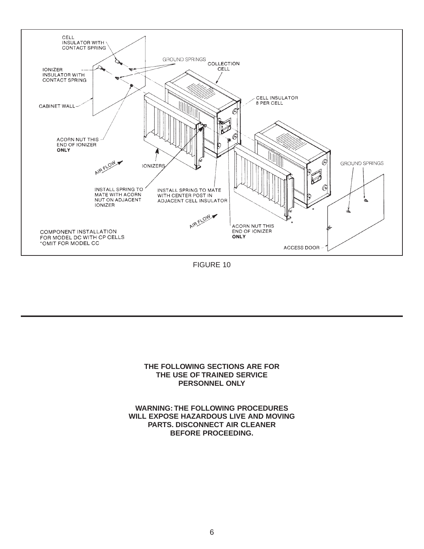

FIGURE 10

#### **THE FOLLOWING SECTIONS ARE FOR THE USE OF TRAINED SERVICE PERSONNEL ONLY**

**WARNING: THE FOLLOWING PROCEDURES WILL EXPOSE HAZARDOUS LIVE AND MOVING PARTS. DISCONNECT AIR CLEANER BEFORE PROCEEDING.**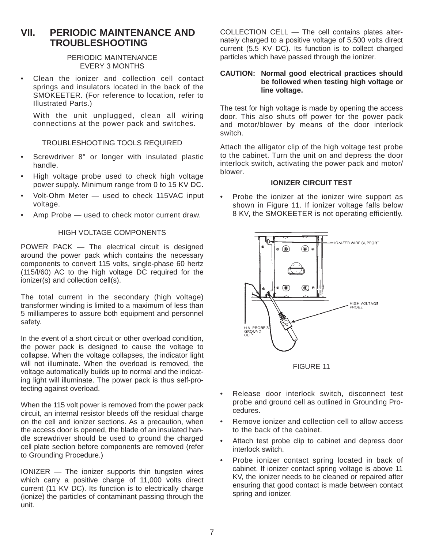## **VII. PERIODIC MAINTENANCE AND TROUBLESHOOTING**

#### PERIODIC MAINTENANCE EVERY 3 MONTHS

• Clean the ionizer and collection cell contact springs and insulators located in the back of the SMOKEETER. (For reference to location, refer to Illustrated Parts.)

With the unit unplugged, clean all wiring connections at the power pack and switches.

#### TROUBLESHOOTING TOOLS REQUIRED

- Screwdriver 8" or longer with insulated plastic handle.
- High voltage probe used to check high voltage power supply. Minimum range from 0 to 15 KV DC.
- Volt-Ohm Meter used to check 115VAC input voltage.
- Amp Probe used to check motor current draw.

#### HIGH VOLTAGE COMPONENTS

POWER PACK — The electrical circuit is designed around the power pack which contains the necessary components to convert 115 volts, single-phase 60 hertz (115/l/60) AC to the high voltage DC required for the ionizer(s) and collection cell(s).

The total current in the secondary (high voltage) transformer winding is limited to a maximum of less than 5 milliamperes to assure both equipment and personnel safety.

In the event of a short circuit or other overload condition, the power pack is designed to cause the voltage to collapse. When the voltage collapses, the indicator light will not illuminate. When the overload is removed, the voltage automatically builds up to normal and the indicating light will illuminate. The power pack is thus self-protecting against overload.

When the 115 volt power is removed from the power pack circuit, an internal resistor bleeds off the residual charge on the cell and ionizer sections. As a precaution, when the access door is opened, the blade of an insulated handle screwdriver should be used to ground the charged cell plate section before components are removed (refer to Grounding Procedure.)

IONIZER — The ionizer supports thin tungsten wires which carry a positive charge of 11,000 volts direct current (11 KV DC). Its function is to electrically charge (ionize) the particles of contaminant passing through the unit.

COLLECTION CELL — The cell contains plates alternately charged to a positive voltage of 5,500 volts direct current (5.5 KV DC). Its function is to collect charged particles which have passed through the ionizer.

#### **CAUTION: Normal good electrical practices should be followed when testing high voltage or line voltage.**

The test for high voltage is made by opening the access door. This also shuts off power for the power pack and motor/blower by means of the door interlock switch.

Attach the alligator clip of the high voltage test probe to the cabinet. Turn the unit on and depress the door interlock switch, activating the power pack and motor/ blower.

#### **IONIZER CIRCUIT TEST**

• Probe the ionizer at the ionizer wire support as shown in Figure 11. If ionizer voltage falls below 8 KV, the SMOKEETER is not operating efficiently.



FIGURE 11

- Release door interlock switch, disconnect test probe and ground cell as outlined in Grounding Procedures.
- Remove ionizer and collection cell to allow access to the back of the cabinet.
- Attach test probe clip to cabinet and depress door interlock switch.
- Probe ionizer contact spring located in back of cabinet. If ionizer contact spring voltage is above 11 KV, the ionizer needs to be cleaned or repaired after ensuring that good contact is made between contact spring and ionizer.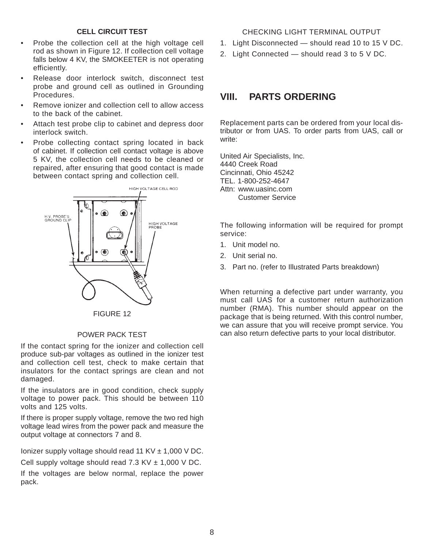#### **CELL CIRCUIT TEST**

- Probe the collection cell at the high voltage cell rod as shown in Figure 12. If collection cell voltage falls below 4 KV, the SMOKEETER is not operating efficiently.
- Release door interlock switch, disconnect test probe and ground cell as outlined in Grounding **Procedures**
- Remove ionizer and collection cell to allow access to the back of the cabinet.
- Attach test probe clip to cabinet and depress door interlock switch.
- Probe collecting contact spring located in back of cabinet. If collection cell contact voltage is above 5 KV, the collection cell needs to be cleaned or repaired, after ensuring that good contact is made between contact spring and collection cell.



#### POWER PACK TEST

If the contact spring for the ionizer and collection cell produce sub-par voltages as outlined in the ionizer test and collection cell test, check to make certain that insulators for the contact springs are clean and not damaged.

If the insulators are in good condition, check supply voltage to power pack. This should be between 110 volts and 125 volts.

If there is proper supply voltage, remove the two red high voltage lead wires from the power pack and measure the output voltage at connectors 7 and 8.

Ionizer supply voltage should read 11 KV  $\pm$  1,000 V DC.

Cell supply voltage should read  $7.3$  KV  $\pm$  1,000 V DC.

If the voltages are below normal, replace the power pack.

#### CHECKING LIGHT TERMINAL OUTPUT

- 1. Light Disconnected should read 10 to 15 V DC.
- 2. Light Connected should read 3 to 5 V DC.

## **VIII. PARTS ORDERING**

Replacement parts can be ordered from your local distributor or from UAS. To order parts from UAS, call or write:

United Air Specialists, Inc. 4440 Creek Road Cincinnati, Ohio 45242 TEL. 1-800-252-4647 Attn: www.uasinc.com Customer Service

The following information will be required for prompt service:

- 1. Unit model no.
- 2. Unit serial no.
- 3. Part no. (refer to Illustrated Parts breakdown)

When returning a defective part under warranty, you must call UAS for a customer return authorization number (RMA). This number should appear on the package that is being returned. With this control number, we can assure that you will receive prompt service. You can also return defective parts to your local distributor.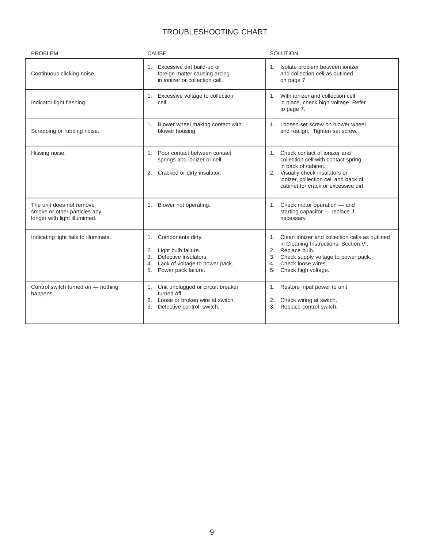## TROUBLESHOOTING CHART

| <b>PROBLEM</b>                                                                            | CAUSE                                                                                                                                              | <b>SOLUTION</b>                                                                                                                                                                                                  |
|-------------------------------------------------------------------------------------------|----------------------------------------------------------------------------------------------------------------------------------------------------|------------------------------------------------------------------------------------------------------------------------------------------------------------------------------------------------------------------|
| Continuous clicking noise.                                                                | Excessive dirt build-up or<br>1.<br>foreign matter causing arcing<br>in ionizer or collection cell.                                                | 1. Isolate problem between ionizer<br>and collection cell as outlined<br>on page 7.                                                                                                                              |
| Indicator light flashing.                                                                 | Excessive voltage to collection<br>1.<br>cell.                                                                                                     | 1. With ionizer and collection cell<br>in place, check high voltage. Refer<br>to page 7.                                                                                                                         |
| Scrapping or rubbing noise.                                                               | Blower wheel making contact with<br>1.<br>blower housing.                                                                                          | 1. Loosen set screw on blower wheel<br>and realign. Tighten set screw.                                                                                                                                           |
| Hissing noise.                                                                            | Poor contact between contact<br>$1_{-}$<br>springs and ionizer or cell.<br>Cracked or dirty insulator.<br>2.                                       | 1. Check contact of ionizer and<br>collection cell with contact spring<br>in back of cabinet.<br>2. Visually check insulators on<br>ionizer, collection cell and back of<br>cabinet for crack or excessive dirt. |
| The unit does not remove<br>smoke or other particles any<br>longer with light illuminted. | Blower not operating.<br>1.                                                                                                                        | 1. Check motor operation - and<br>starting capacitor - replace if<br>necessary.                                                                                                                                  |
| Indicating light fails to illuminate.                                                     | Components dirty.<br>1.<br>2. Light bulb failure.<br>3. Defective insulators.<br>Lack of voltage to power pack.<br>4.<br>Power pack failure.<br>5. | 1. Clean ionizer and collection cells as outlined<br>in Cleaning Instructions, Section VI.<br>2. Replace bulb.<br>Check supply voltage to power pack.<br>Check loose wires.<br>4.<br>Check high voltage.<br>5.   |
| Control switch turned on - nothing<br>happens                                             | Unit unplugged or circuit breaker<br>1.<br>turned off.<br>2. Loose or broken wire at switch.<br>3.<br>Defective control, switch.                   | 1. Restore input power to unit.<br>Check wiring at switch.<br>2.<br>Replace control switch.<br>3.                                                                                                                |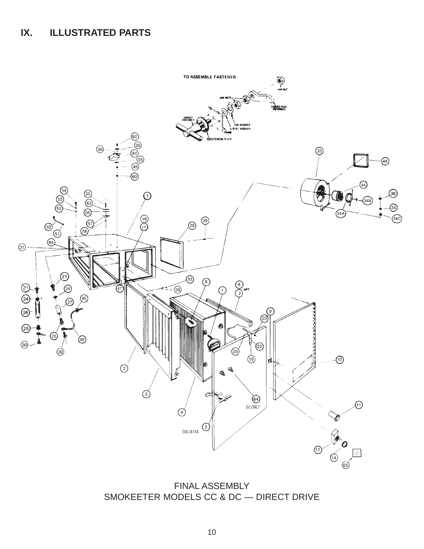## **IX. ILLUSTRATED PARTS**



FINAL ASSEMBLY SMOKEETER MODELS CC & DC — DIRECT DRIVE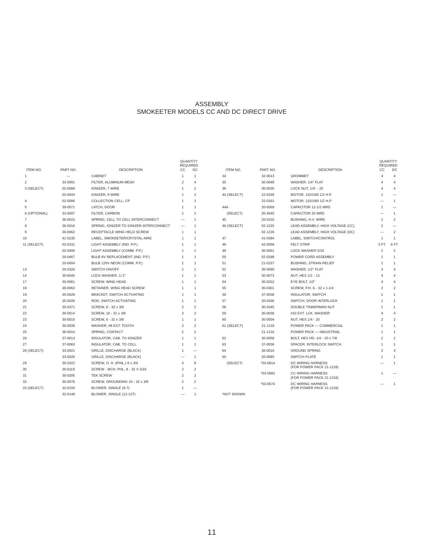#### ASSEMBLY SMOKEETER MODELS CC AND DC DIRECT DRIVE

| ITEM NO.       | PART NO. | <b>DESCRIPTION</b>                      | QUANTITY<br>CC | <b>REQUIRED</b><br>DC    | ITEM NO.    | PART NO.   | <b>DESCRIPTION</b>                            | CС             | QUANTITY<br><b>REQUIRED</b><br>DC |
|----------------|----------|-----------------------------------------|----------------|--------------------------|-------------|------------|-----------------------------------------------|----------------|-----------------------------------|
| $\mathbf{1}$   |          | <b>CABINET</b>                          | $\overline{1}$ | $\mathbf{1}$             | 34          | 32-0013    | <b>GROMMET</b>                                | Δ              | $\overline{4}$                    |
| $\overline{2}$ | 33-0001  | FILTER, ALUMINUM MESH                   | $\overline{2}$ | $\Delta$                 | 35          | 30-0049    | WASHER, 1/4" FLAT                             |                | $\overline{4}$                    |
| 3 (SELECT)     | 02-0089  | IONIZER, 7 WIRE                         |                | $\overline{2}$           | 36          | 30-0030    | LOCK NUT, 1/4" - 20                           |                | 4                                 |
|                | 02-0044  | IONIZER, 9 WIRE                         |                | $\overline{2}$           | 44 (SELECT) | 22-0166    | MOTOR, 115/1/60 1/2 H.P.                      |                |                                   |
| $\overline{4}$ | 02-0086  | COLLECTION CELL, CP                     |                | $\overline{2}$           |             | 22-0161    | MOTOR, 115/1/60 1/2 H.P.                      |                | $\mathbf{1}$                      |
| 5              | 39-0071  | LATCH, DOOR                             |                | $\overline{1}$           | 44A         | 20-0569    | CAPACITOR 12-1/2 MRD                          |                | $\overline{\phantom{0}}$          |
| 6 (OPTIONAL)   | 33-0007  | FILTER, CARBON                          |                | $\overline{\mathbf{z}}$  | (SELECT)    | 20-2640    | CAPACITOR 20 MRD                              |                | $\mathbf{1}$                      |
| 7              | 36-0015  | SPRING, CELL TO CELL INTERCONNECT       |                | $\overline{1}$           | 45          | 20-0155    | BUSHING, H.V. WIRE                            | $\overline{2}$ | 2                                 |
| 8              | 36-0016  | SPRING, IONIZER TO IONIZER INTERCONNECT |                | $\overline{1}$           | 46 (SELECT) | 02-1225    | LEAD ASSEMBLY, HIGH VOLTAGE (CC)              | 2              | $\overline{\phantom{0}}$          |
| 9              | 30-0062  | RECEPTACLE WING HELD SCREW              | $\overline{1}$ | $\overline{1}$           |             | 02-1226    | LEAD ASSEMBLY, HIGH VOLTAGE (DC)              |                | $\overline{2}$                    |
| 10             | 41-0235  | LABEL, SMOKEETER/CRYSTAL-AIRE           |                | $\overline{1}$           | 47          | 41-0384    | LABEL, SWITCH/CONTROL                         | -1             | 1                                 |
| 11 (SELECT)    | 02-0331  | LIGHT ASSEMBLY (IND. P.P.)              |                |                          | 48          | 42-0058    | <b>FELT STRIP</b>                             | 3 FT.          | 6 FT.                             |
|                | 02-0400  | LIGHT ASSEMBLY (COMM. P.P.)             |                | $\overline{1}$           | 49          | 30-0051    | LOCK WASHER 5/16                              | 2              | $\overline{2}$                    |
|                | 20-0467  | BULB 6V REPLACEMENT (IND. P.P.)         |                | $\overline{1}$           | 50          | 02-0288    | POWER CORD ASSEMBLY                           |                | $\mathbf{1}$                      |
|                | 20-0004  | BULB 120V NEON (COMM. P.P.)             |                | $\overline{1}$           | 51          | 21-0157    | <b>BUSHING, STRAIN RELIEF</b>                 |                | $\overline{1}$                    |
| 13             | 20-0326  | SWITCH ON/OFF                           |                | $\overline{1}$           | 52          | 30-0090    | WASHER, 1/2" FLAT                             |                | $\overline{\mathbf{4}}$           |
| 14             | 30-0045  | LOCK WASHER, 1/2"                       |                | $\overline{1}$           | 53          | 30-0073    | NUT, HEX 1/2 - 13                             |                | $\Delta$                          |
| 17             | 30-0061  | SCREW, WING HEAD                        |                | $\overline{1}$           | 54          | 30-0252    | EYE BOLT, 1/2"                                |                | $\Delta$                          |
| 18             | 30-0063  | RETAINER, WING HEAD SCREW               |                | $\overline{1}$           | 55          | 30-0301    | SCREW, P.H. 6 - 32 x 1-1/4                    | 2              | $\overline{2}$                    |
| 19             | 35-0028  | BRACKET, SWITCH ACTIVATING              |                | $\overline{1}$           | 56          | 37-0038    | <b>INSULATOR, SWITCH</b>                      |                | 1                                 |
| 20             | 35-0026  | ROD, SWITCH ACTIVATING                  |                | $\overline{1}$           | 57          | 20-0436    | SWITCH, DOOR INTERLOCK                        |                | 1                                 |
| 21             | 30-0371  | SCREW, 8 - 32 x 3/8                     | $\overline{2}$ | $\overline{2}$           | 58          | 30-0345    | DOUBLE TINNERMAN NUT                          |                | $\overline{1}$                    |
| 22             | 30-0014  | SCREW, 10 - 32 x 3/8                    | $\overline{2}$ | $\overline{2}$           | 59          | 30-0036    | #10 EXT. LCK. WASHER                          |                | 4                                 |
| 23             | 30-0015  | SCREW, 6 - 32 x 3/8                     | $\overline{1}$ | $\overline{1}$           | 60          | 30-0004    | NUT, HEX 1/4 - 20                             | $\mathfrak{p}$ | $\overline{2}$                    |
| 24             | 30-0039  | WASHER, #8 EXT. TOOTH                   | $\overline{2}$ | $\mathfrak{p}$           | 61 (SELECT) | 21-1218    | POWER PACK - COMMERCIAL                       |                | 1                                 |
| 25             | 36-0014  | SPRING, CONTACT                         | $\overline{2}$ | $\overline{2}$           |             | 21-1216    | POWER PACK - INDUSTRIAL                       |                | $\overline{1}$                    |
| 26             | 37-0013  | INSULATOR, CAB. TO IONIZER              |                | $\overline{1}$           | 62          | 30-0058    | BOLT, HEX HD. 1/4 - 20 x 7/8                  | $\mathfrak{p}$ | $\overline{2}$                    |
| 27             | 37-0063  | INSULATOR, CAB. TO CELL                 |                | -1                       | 63          | 37-0036    | SPACER, INTERLOCK SWITCH                      | 1              | 1                                 |
| 28 (SELECT)    | 33-0021  | GRILLE, DISCHARGE (BLACK)               | 1              | $\overline{\phantom{0}}$ | 64          | 36-0016    | <b>GROUND SPRING</b>                          | $\mathfrak{p}$ | $\Delta$                          |
|                | 33-0026  | GRILLE, DISCHARGE (BLACK)               |                | $\overline{1}$           | 65          | 20-0085    | SWITCH PLATE                                  |                | 1                                 |
| 29             | 30-0322  | SCREW, O. H. (PHIL.) 8 x 3/4            | $\overline{4}$ | 8                        | (SELECT)    | $*03-0614$ | DC WIRING HARNESS                             |                | 1                                 |
| 30             | 30-0119  | SCREW - MCH. PHL. 8 - 32 X 5/16         | $\overline{2}$ | $\overline{2}$           |             |            | (FOR POWER PACK 21-1218)                      |                |                                   |
| 31             | 30-0305  | <b>TEK SCREW</b>                        | $\overline{2}$ | 2                        |             | *03-0583   | CC WIRING HARNESS<br>(FOR POWER PACK 21-1216) |                |                                   |
| 32             | 30-0076  | SCREW, GROUNDING 10 - 32 x 3/8          | $\mathfrak{p}$ | $\overline{2}$           |             | $*03-0574$ | DC WIRING HARNESS                             |                | $\overline{1}$                    |
| 33 (SELECT)    | 32-0150  | BLOWER, SINGLE (9-7)                    |                |                          |             |            | (FOR POWER PACK 21-1216)                      |                |                                   |
|                | 32-0148  | BLOWER, SINGLE (12-12T)                 |                | $\mathbf{1}$             | *NOT SHOWN  |            |                                               |                |                                   |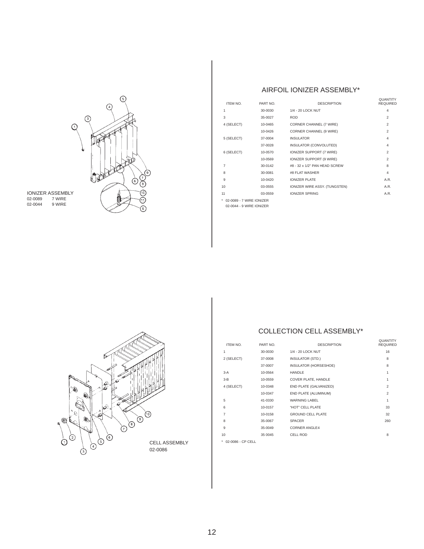

IONIZER ASSEMBLY 02-0089 7 WIRE 02-0044 9 WIRE

# ⊚  $\odot$ 000 ۹ ۱

 $\begin{pmatrix} 1 \\ 0 \\ 0 \end{pmatrix}$ 

 $\odot$  $\odot$ 

 $\bigcirc$ 

02-0086

#### AIRFOIL IONIZER ASSEMBLY\*

| ITEM NO.                   | PART NO.    | <b>DESCRIPTION</b>            | <b><i>OUANTITY</i></b><br><b>REQUIRED</b> |
|----------------------------|-------------|-------------------------------|-------------------------------------------|
| 1                          | 30-0030     | 1/4 - 20 LOCK NUT             | $\overline{4}$                            |
| 3                          | 35-0027     | <b>ROD</b>                    | $\mathfrak{p}$                            |
| 4 (SELECT)                 | 10-0465     | CORNER CHANNEL (7 WIRE)       | 2                                         |
|                            | 10-0426     | CORNER CHANNEL (9 WIRE)       | $\overline{2}$                            |
| 5 (SELECT)                 | 37-0004     | <b>INSULATOR</b>              | $\overline{4}$                            |
|                            | 37-0028     | INSULATOR (CONVOLUTED)        | 4                                         |
| 6 (SELECT)                 | 10-0570     | IONIZER SUPPORT (7 WIRE)      | $\mathfrak{p}$                            |
|                            | 10-0569     | IONIZER SUPPORT (9 WIRE)      | $\mathfrak{p}$                            |
| $\overline{7}$             | 30-0142     | #8 - 32 x 1/2" PAN HEAD SCREW | 8                                         |
| 8                          | 30-0081     | #8 FLAT WASHER                | 4                                         |
| 9                          | $10 - 0420$ | <b>IONIZER PLATE</b>          | A.R.                                      |
| 10                         | 03-0555     | IONIZER WIRE ASSY. (TUNGSTEN) | A.R.                                      |
| 11                         | 03-0559     | <b>IONIZER SPRING</b>         | A.R.                                      |
| * 02-0089 - 7 WIRE IONIZER |             |                               |                                           |
|                            |             |                               |                                           |

02-0044 - 9 WIRE IONIZER

### COLLECTION CELL ASSEMBLY\*

| ITEM NO.       | PART NO. | <b>DESCRIPTION</b>       | QUANTITY<br><b>REQUIRED</b> |
|----------------|----------|--------------------------|-----------------------------|
| 1              | 30-0030  | 1/4 - 20 LOCK NUT        | 16                          |
| 2 (SELECT)     | 37-0008  | <b>INSULATOR (STD.)</b>  | 8                           |
|                | 37-0007  | INSULATOR (HORSESHOE)    | 8                           |
| $3-A$          | 10-0564  | <b>HANDLE</b>            | 1                           |
| $3-B$          | 10-0559  | COVER PLATE, HANDLE      | $\mathbf{1}$                |
| 4 (SELECT)     | 10-0348  | END PLATE (GALVANIZED)   | $\overline{2}$              |
|                | 10-0347  | END PLATE (ALUMINUM)     | $\overline{2}$              |
| 5              | 41-0330  | <b>WARNING LABEL</b>     | 1                           |
| 6              | 10-0157  | "HOT" CELL PLATE         | 33                          |
| $\overline{7}$ | 10-0158  | <b>GROUND CELL PLATE</b> | 32                          |
| 8              | 35-0067  | <b>SPACER</b>            | 260                         |
| 9              | 35-0049  | <b>CORNER ANGLE4</b>     |                             |
| 10             | 35 0045  | <b>CELL ROD</b>          | 8                           |
|                |          |                          |                             |

CELL ASSEMBLY **a**  $\cdot$  02-0086 - CP CELL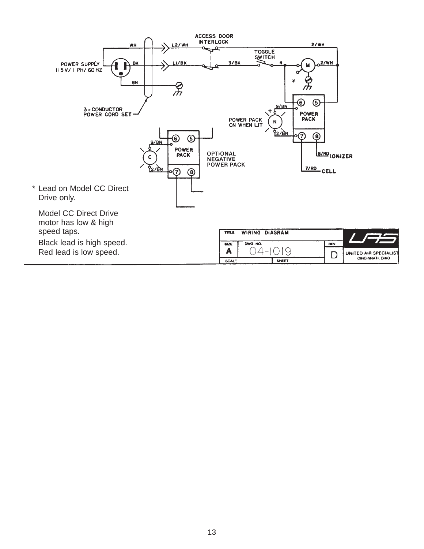